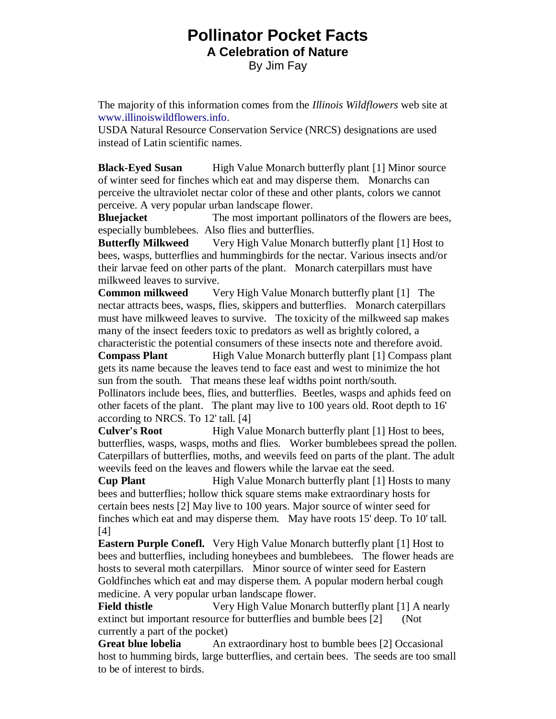## **Pollinator Pocket Facts A Celebration of Nature**  By Jim Fay

The majority of this information comes from the *Illinois Wildflowers* web site at [www.illinoiswildflowers.info.](https://www.illinoiswildflowers.info/)

USDA Natural Resource Conservation Service (NRCS) designations are used instead of Latin scientific names.

**Black-Eyed Susan** High Value Monarch butterfly plant [1] Minor source of winter seed for finches which eat and may disperse them. Monarchs can perceive the ultraviolet nectar color of these and other plants, colors we cannot perceive. A very popular urban landscape flower.

**Bluejacket** The most important pollinators of the flowers are bees, especially bumblebees. Also flies and butterflies.

**Butterfly Milkweed** Very High Value Monarch butterfly plant [1] Host to bees, wasps, butterflies and hummingbirds for the nectar. Various insects and/or their larvae feed on other parts of the plant. Monarch caterpillars must have milkweed leaves to survive.

**Common milkweed** Very High Value Monarch butterfly plant [1] The nectar attracts bees, wasps, flies, skippers and butterflies. Monarch caterpillars must have milkweed leaves to survive. The toxicity of the milkweed sap makes many of the insect feeders toxic to predators as well as brightly colored, a characteristic the potential consumers of these insects note and therefore avoid.

**Compass Plant** High Value Monarch butterfly plant [1] Compass plant gets its name because the leaves tend to face east and west to minimize the hot sun from the south. That means these leaf widths point north/south.

Pollinators include bees, flies, and butterflies. Beetles, wasps and aphids feed on other facets of the plant. The plant may live to 100 years old. Root depth to 16' according to NRCS. To 12' tall. [4]

**Culver's Root** High Value Monarch butterfly plant [1] Host to bees, butterflies, wasps, wasps, moths and flies. Worker bumblebees spread the pollen. Caterpillars of butterflies, moths, and weevils feed on parts of the plant. The adult weevils feed on the leaves and flowers while the larvae eat the seed.

**Cup Plant** High Value Monarch butterfly plant [1] Hosts to many bees and butterflies; hollow thick square stems make extraordinary hosts for certain bees nests [2] May live to 100 years. Major source of winter seed for finches which eat and may disperse them. May have roots 15' deep. To 10' tall. [4]

**Eastern Purple Conefl.** Very High Value Monarch butterfly plant [1] Host to bees and butterflies, including honeybees and bumblebees. The flower heads are hosts to several moth caterpillars. Minor source of winter seed for Eastern Goldfinches which eat and may disperse them. A popular modern herbal cough medicine. A very popular urban landscape flower.

**Field thistle** Very High Value Monarch butterfly plant [1] A nearly extinct but important resource for butterflies and bumble bees [2] (Not currently a part of the pocket)

**Great blue lobelia** An extraordinary host to bumble bees [2] Occasional host to humming birds, large butterflies, and certain bees. The seeds are too small to be of interest to birds.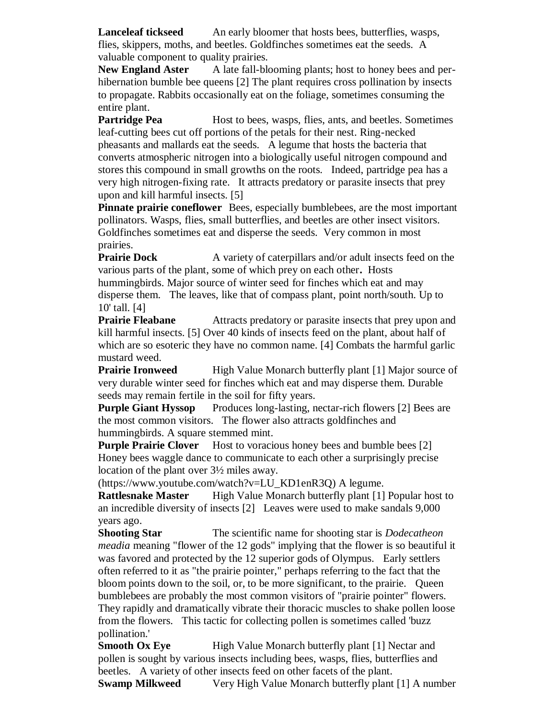**Lanceleaf tickseed** An early bloomer that hosts bees, butterflies, wasps, flies, skippers, moths, and beetles. Goldfinches sometimes eat the seeds. A valuable component to quality prairies.

**New England Aster** A late fall-blooming plants; host to honey bees and perhibernation bumble bee queens [2] The plant requires cross pollination by insects to propagate. Rabbits occasionally eat on the foliage, sometimes consuming the entire plant.

**Partridge Pea** Host to bees, wasps, flies, ants, and beetles. Sometimes leaf-cutting bees cut off portions of the petals for their nest. Ring-necked pheasants and mallards eat the seeds. A legume that hosts the bacteria that converts atmospheric nitrogen into a biologically useful nitrogen compound and stores this compound in small growths on the roots. Indeed, partridge pea has a very high nitrogen-fixing rate. It attracts predatory or parasite insects that prey upon and kill harmful insects. [5]

**Pinnate prairie coneflower** Bees, especially bumblebees, are the most important pollinators. Wasps, flies, small butterflies, and beetles are other insect visitors. Goldfinches sometimes eat and disperse the seeds. Very common in most prairies.

**Prairie Dock** A variety of caterpillars and/or adult insects feed on the various parts of the plant, some of which prey on each other**.** Hosts hummingbirds. Major source of winter seed for finches which eat and may disperse them. The leaves, like that of compass plant, point north/south. Up to 10' tall. [4]

**Prairie Fleabane** Attracts predatory or parasite insects that prey upon and kill harmful insects. [5] Over 40 kinds of insects feed on the plant, about half of which are so esoteric they have no common name. [4] Combats the harmful garlic mustard weed.

**Prairie Ironweed** High Value Monarch butterfly plant [1] Major source of very durable winter seed for finches which eat and may disperse them. Durable seeds may remain fertile in the soil for fifty years.

**Purple Giant Hyssop** Produces long-lasting, nectar-rich flowers [2] Bees are the most common visitors. The flower also attracts goldfinches and hummingbirds. A square stemmed mint.

**Purple Prairie Clover** Host to voracious honey bees and bumble bees [2] Honey bees waggle dance to communicate to each other a surprisingly precise location of the plant over 3½ miles away.

(https://www.youtube.com/watch?v=LU\_KD1enR3Q) A legume.

**Rattlesnake Master** High Value Monarch butterfly plant [1] Popular host to an incredible diversity of insects [2] Leaves were used to make sandals 9,000 years ago.

**Shooting Star** The scientific name for shooting star is *Dodecatheon meadia* meaning "flower of the 12 gods" implying that the flower is so beautiful it was favored and protected by the 12 superior gods of Olympus. Early settlers often referred to it as "the prairie pointer," perhaps referring to the fact that the bloom points down to the soil, or, to be more significant, to the prairie. Queen bumblebees are probably the most common visitors of "prairie pointer" flowers. They rapidly and dramatically vibrate their thoracic muscles to shake pollen loose from the flowers. This tactic for collecting pollen is sometimes called 'buzz pollination.'

**Smooth Ox Eye** High Value Monarch butterfly plant [1] Nectar and pollen is sought by various insects including bees, wasps, flies, butterflies and beetles. A variety of other insects feed on other facets of the plant.

**Swamp Milkweed** Very High Value Monarch butterfly plant [1] A number